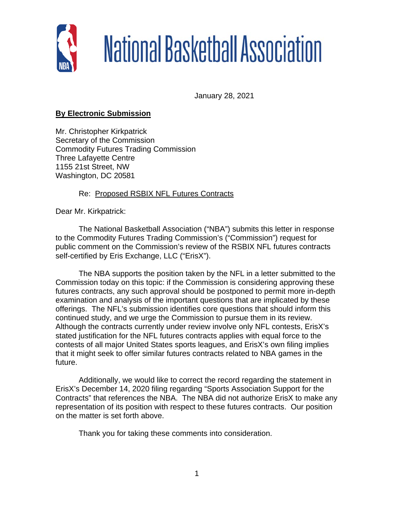

## National Basketball Association

January 28, 2021

## **By Electronic Submission**

Mr. Christopher Kirkpatrick Secretary of the Commission Commodity Futures Trading Commission Three Lafayette Centre 1155 21st Street, NW Washington, DC 20581

## Re: Proposed RSBIX NFL Futures Contracts

Dear Mr. Kirkpatrick:

The National Basketball Association ("NBA") submits this letter in response to the Commodity Futures Trading Commission's ("Commission") request for public comment on the Commission's review of the RSBIX NFL futures contracts self-certified by Eris Exchange, LLC ("ErisX").

The NBA supports the position taken by the NFL in a letter submitted to the Commission today on this topic: if the Commission is considering approving these futures contracts, any such approval should be postponed to permit more in-depth examination and analysis of the important questions that are implicated by these offerings. The NFL's submission identifies core questions that should inform this continued study, and we urge the Commission to pursue them in its review. Although the contracts currently under review involve only NFL contests, ErisX's stated justification for the NFL futures contracts applies with equal force to the contests of all major United States sports leagues, and ErisX's own filing implies that it might seek to offer similar futures contracts related to NBA games in the future.

Additionally, we would like to correct the record regarding the statement in ErisX's December 14, 2020 filing regarding "Sports Association Support for the Contracts" that references the NBA. The NBA did not authorize ErisX to make any representation of its position with respect to these futures contracts. Our position on the matter is set forth above.

Thank you for taking these comments into consideration.